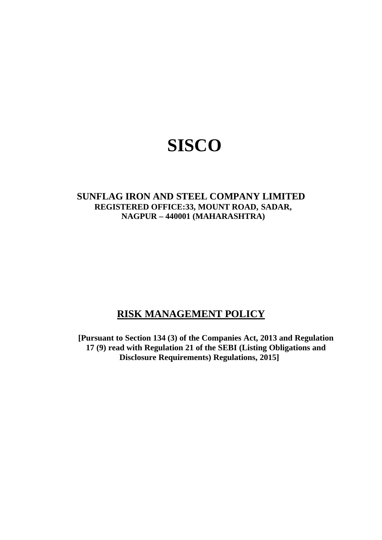# **SISCO**

# **SUNFLAG IRON AND STEEL COMPANY LIMITED REGISTERED OFFICE:33, MOUNT ROAD, SADAR, NAGPUR – 440001 (MAHARASHTRA)**

# **RISK MANAGEMENT POLICY**

**[Pursuant to Section 134 (3) of the Companies Act, 2013 and Regulation 17 (9) read with Regulation 21 of the SEBI (Listing Obligations and Disclosure Requirements) Regulations, 2015]**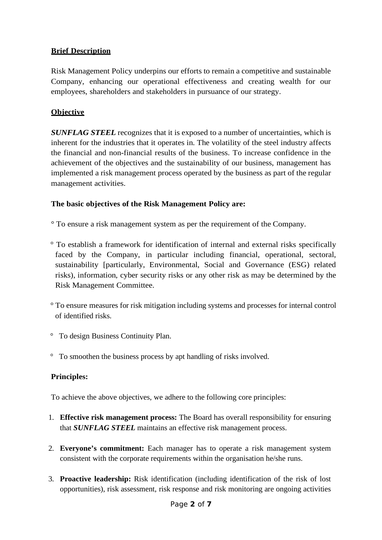#### **Brief Description**

Risk Management Policy underpins our efforts to remain a competitive and sustainable Company, enhancing our operational effectiveness and creating wealth for our employees, shareholders and stakeholders in pursuance of our strategy.

# **Objective**

*SUNFLAG STEEL* recognizes that it is exposed to a number of uncertainties, which is inherent for the industries that it operates in. The volatility of the steel industry affects the financial and non-financial results of the business. To increase confidence in the achievement of the objectives and the sustainability of our business, management has implemented a risk management process operated by the business as part of the regular management activities.

#### **The basic objectives of the Risk Management Policy are:**

° To ensure a risk management system as per the requirement of the Company.

- ° To establish a framework for identification of internal and external risks specifically faced by the Company, in particular including financial, operational, sectoral, sustainability [particularly, Environmental, Social and Governance (ESG) related risks), information, cyber security risks or any other risk as may be determined by the Risk Management Committee.
- ° To ensure measures for risk mitigation including systems and processes for internal control of identified risks.
- ° To design Business Continuity Plan.
- ° To smoothen the business process by apt handling of risks involved.

#### **Principles:**

To achieve the above objectives, we adhere to the following core principles:

- 1. **Effective risk management process:** The Board has overall responsibility for ensuring that *SUNFLAG STEEL* maintains an effective risk management process.
- 2. **Everyone's commitment:** Each manager has to operate a risk management system consistent with the corporate requirements within the organisation he/she runs.
- 3. **Proactive leadership:** Risk identification (including identification of the risk of lost opportunities), risk assessment, risk response and risk monitoring are ongoing activities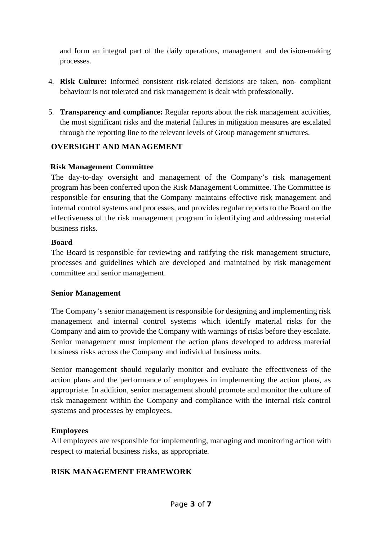and form an integral part of the daily operations, management and decision-making processes.

- 4. **Risk Culture:** Informed consistent risk-related decisions are taken, non- compliant behaviour is not tolerated and risk management is dealt with professionally.
- 5. **Transparency and compliance:** Regular reports about the risk management activities, the most significant risks and the material failures in mitigation measures are escalated through the reporting line to the relevant levels of Group management structures.

# **OVERSIGHT AND MANAGEMENT**

#### **Risk Management Committee**

The day-to-day oversight and management of the Company's risk management program has been conferred upon the Risk Management Committee. The Committee is responsible for ensuring that the Company maintains effective risk management and internal control systems and processes, and provides regular reports to the Board on the effectiveness of the risk management program in identifying and addressing material business risks.

#### **Board**

The Board is responsible for reviewing and ratifying the risk management structure, processes and guidelines which are developed and maintained by risk management committee and senior management.

#### **Senior Management**

The Company's senior management is responsible for designing and implementing risk management and internal control systems which identify material risks for the Company and aim to provide the Company with warnings of risks before they escalate. Senior management must implement the action plans developed to address material business risks across the Company and individual business units.

Senior management should regularly monitor and evaluate the effectiveness of the action plans and the performance of employees in implementing the action plans, as appropriate. In addition, senior management should promote and monitor the culture of risk management within the Company and compliance with the internal risk control systems and processes by employees.

#### **Employees**

All employees are responsible for implementing, managing and monitoring action with respect to material business risks, as appropriate.

#### **RISK MANAGEMENT FRAMEWORK**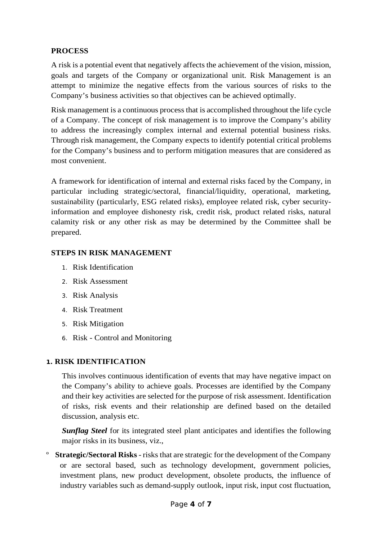#### **PROCESS**

A risk is a potential event that negatively affects the achievement of the vision, mission, goals and targets of the Company or organizational unit. Risk Management is an attempt to minimize the negative effects from the various sources of risks to the Company's business activities so that objectives can be achieved optimally.

Risk management is a continuous process that is accomplished throughout the life cycle of a Company. The concept of risk management is to improve the Company's ability to address the increasingly complex internal and external potential business risks. Through risk management, the Company expects to identify potential critical problems for the Company's business and to perform mitigation measures that are considered as most convenient.

A framework for identification of internal and external risks faced by the Company, in particular including strategic/sectoral, financial/liquidity, operational, marketing, sustainability (particularly, ESG related risks), employee related risk, cyber securityinformation and employee dishonesty risk, credit risk, product related risks, natural calamity risk or any other risk as may be determined by the Committee shall be prepared.

#### **STEPS IN RISK MANAGEMENT**

- 1. Risk Identification
- 2. Risk Assessment
- 3. Risk Analysis
- 4. Risk Treatment
- 5. Risk Mitigation
- 6. Risk Control and Monitoring

#### **1. RISK IDENTIFICATION**

This involves continuous identification of events that may have negative impact on the Company's ability to achieve goals. Processes are identified by the Company and their key activities are selected for the purpose of risk assessment. Identification of risks, risk events and their relationship are defined based on the detailed discussion, analysis etc.

*Sunflag Steel* for its integrated steel plant anticipates and identifies the following major risks in its business, viz.,

º **Strategic/Sectoral Risks** - risks that are strategic for the development of the Company or are sectoral based, such as technology development, government policies, investment plans, new product development, obsolete products, the influence of industry variables such as demand-supply outlook, input risk, input cost fluctuation,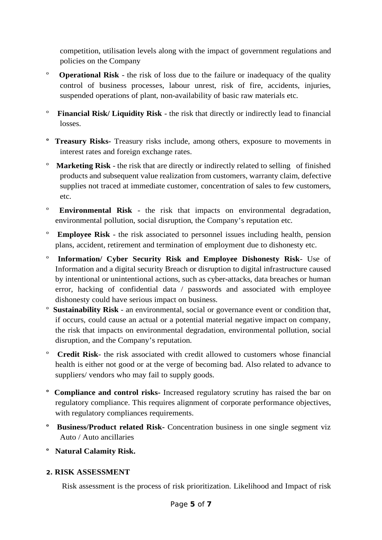competition, utilisation levels along with the impact of government regulations and policies on the Company

- º **Operational Risk** the risk of loss due to the failure or inadequacy of the quality control of business processes, labour unrest, risk of fire, accidents, injuries, suspended operations of plant, non-availability of basic raw materials etc.
- º **Financial Risk/ Liquidity Risk** the risk that directly or indirectly lead to financial losses.
- **º Treasury Risks-** Treasury risks include, among others, exposure to movements in interest rates and foreign exchange rates.
- º **Marketing Risk** the risk that are directly or indirectly related to selling of finished products and subsequent value realization from customers, warranty claim, defective supplies not traced at immediate customer, concentration of sales to few customers, etc.
- º **Environmental Risk** the risk that impacts on environmental degradation, environmental pollution, social disruption, the Company's reputation etc.
- º **Employee Risk** the risk associated to personnel issues including health, pension plans, accident, retirement and termination of employment due to dishonesty etc.
- º **Information/ Cyber Security Risk and Employee Dishonesty Risk** Use of Information and a digital security Breach or disruption to digital infrastructure caused by intentional or unintentional actions, such as cyber-attacks, data breaches or human error, hacking of confidential data / passwords and associated with employee dishonesty could have serious impact on business.
- º **Sustainability Risk** an environmental, social or governance event or condition that, if occurs, could cause an actual or a potential material negative impact on company, the risk that impacts on environmental degradation, environmental pollution, social disruption, and the Company's reputation.
- º **Credit Risk** the risk associated with credit allowed to customers whose financial health is either not good or at the verge of becoming bad. Also related to advance to suppliers/ vendors who may fail to supply goods.
- **º Compliance and control risks-** Increased regulatory scrutiny has raised the bar on regulatory compliance. This requires alignment of corporate performance objectives, with regulatory compliances requirements.
- **º Business/Product related Risk-** Concentration business in one single segment viz Auto / Auto ancillaries
- **º Natural Calamity Risk.**

#### **2. RISK ASSESSMENT**

Risk assessment is the process of risk prioritization. Likelihood and Impact of risk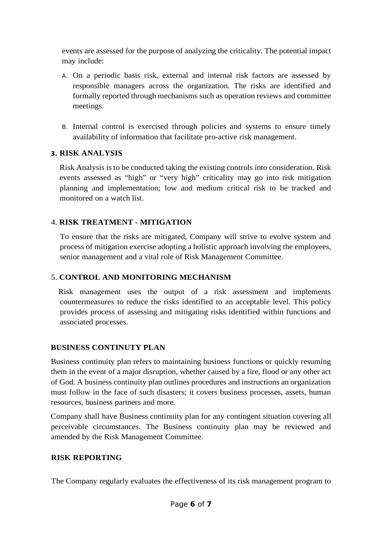events are assessed for the purpose of analyzing the criticality. The potential impact may include:

- A. On a periodic basis risk, external and internal risk factors are assessed by responsible managers across the organization. The risks are identified and formally reported through mechanisms such as operation reviews and committee meetings.
- B. Internal control is exercised through policies and systems to ensure timely availability of information that facilitate pro-active risk management.

#### **3. RISK ANALYSIS**

Risk Analysis is to be conducted taking the existing controls into consideration. Risk events assessed as "high" or "very high" criticality may go into risk mitigation planning and implementation; low and medium critical risk to be tracked and monitored on a watch list.

# 4. **RISK TREATMENT - MITIGATION**

To ensure that the risks are mitigated, Company will strive to evolve system and process of mitigation exercise adopting a holistic approach involving the employees, senior management and a vital role of Risk Management Committee.

#### 5. **CONTROL AND MONITORING MECHANISM**

 Risk management uses the output of a risk assessment and implements countermeasures to reduce the risks identified to an acceptable level. This policy provides process of assessing and mitigating risks identified within functions and associated processes.

# **BUSINESS CONTINUTY PLAN**

Business continuity plan refers to maintaining business functions or quickly resuming them in the event of a major disruption, whether caused by a fire, flood or any other act of God. A business continuity plan outlines procedures and instructions an organization must follow in the face of such disasters; it covers business processes, assets, human resources, business partners and more.

Company shall have Business continuity plan for any contingent situation covering all perceivable circumstances. The Business continuity plan may be reviewed and amended by the Risk Management Committee.

#### **RISK REPORTING**

The Company regularly evaluates the effectiveness of its risk management program to